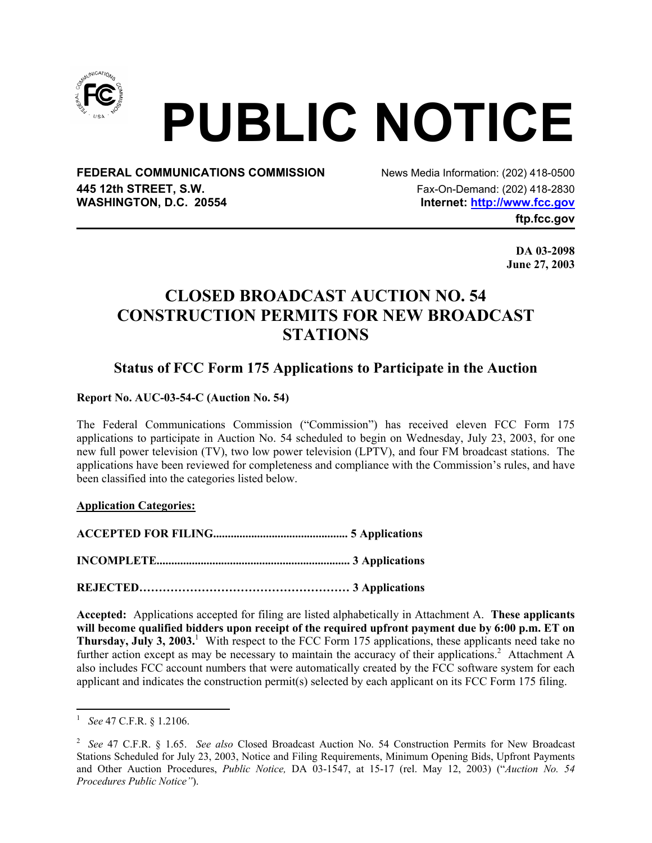

# **PUBLIC NOTICE**

**FEDERAL COMMUNICATIONS COMMISSION** News Media Information: (202) 418-0500 **445 12th STREET, S.W.** Fax-On-Demand: (202) 418-2830 WASHINGTON, D.C. 20554 **Internet: http://www.fcc.gov** 

**ftp.fcc.gov** 

**DA 03-2098 June 27, 2003** 

## **CLOSED BROADCAST AUCTION NO. 54 CONSTRUCTION PERMITS FOR NEW BROADCAST STATIONS**

### **Status of FCC Form 175 Applications to Participate in the Auction**

**Report No. AUC-03-54-C (Auction No. 54)** 

The Federal Communications Commission ("Commission") has received eleven FCC Form 175 applications to participate in Auction No. 54 scheduled to begin on Wednesday, July 23, 2003, for one new full power television (TV), two low power television (LPTV), and four FM broadcast stations. The applications have been reviewed for completeness and compliance with the Commission's rules, and have been classified into the categories listed below.

#### **Application Categories:**

**ACCEPTED FOR FILING.............................................. 5 Applications**

**INCOMPLETE.................................................................. 3 Applications** 

**REJECTED……………………………………………… 3 Applications** 

**Accepted:** Applications accepted for filing are listed alphabetically in Attachment A. **These applicants will become qualified bidders upon receipt of the required upfront payment due by 6:00 p.m. ET on**  Thursday, July 3, 2003.<sup>1</sup> With respect to the FCC Form 175 applications, these applicants need take no further action except as may be necessary to maintain the accuracy of their applications.<sup>2</sup> Attachment A also includes FCC account numbers that were automatically created by the FCC software system for each applicant and indicates the construction permit(s) selected by each applicant on its FCC Form 175 filing.

 $\overline{a}$ 1  *See* 47 C.F.R. § 1.2106.

<sup>2</sup>  *See* 47 C.F.R. § 1.65. *See also* Closed Broadcast Auction No. 54 Construction Permits for New Broadcast Stations Scheduled for July 23, 2003, Notice and Filing Requirements, Minimum Opening Bids, Upfront Payments and Other Auction Procedures, *Public Notice,* DA 03-1547, at 15-17 (rel. May 12, 2003) ("*Auction No. 54 Procedures Public Notice"*).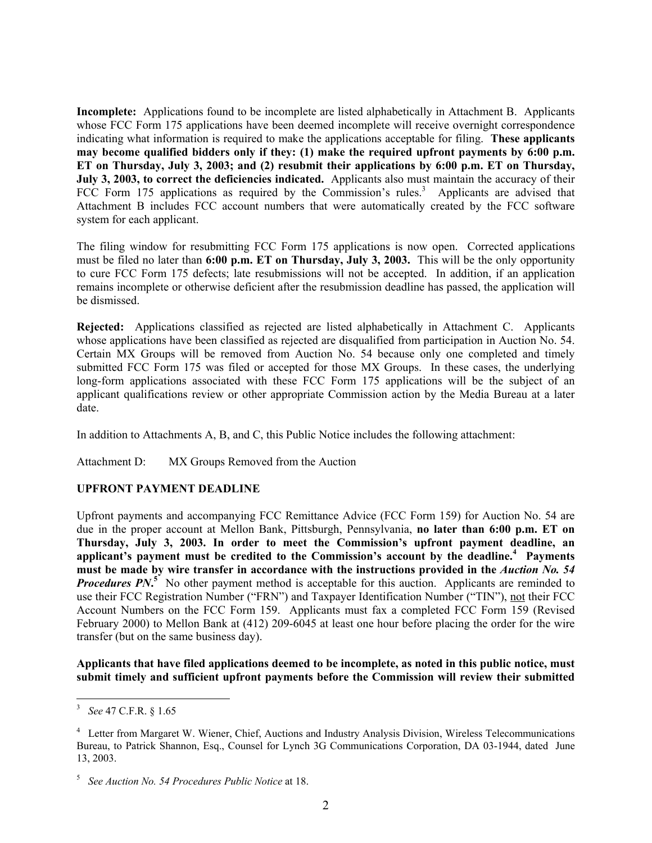**Incomplete:** Applications found to be incomplete are listed alphabetically in Attachment B. Applicants whose FCC Form 175 applications have been deemed incomplete will receive overnight correspondence indicating what information is required to make the applications acceptable for filing. **These applicants may become qualified bidders only if they: (1) make the required upfront payments by 6:00 p.m. ET on Thursday, July 3, 2003; and (2) resubmit their applications by 6:00 p.m. ET on Thursday, July 3, 2003, to correct the deficiencies indicated.** Applicants also must maintain the accuracy of their FCC Form 175 applications as required by the Commission's rules.<sup>3</sup> Applicants are advised that Attachment B includes FCC account numbers that were automatically created by the FCC software system for each applicant.

The filing window for resubmitting FCC Form 175 applications is now open. Corrected applications must be filed no later than **6:00 p.m. ET on Thursday, July 3, 2003.** This will be the only opportunity to cure FCC Form 175 defects; late resubmissions will not be accepted. In addition, if an application remains incomplete or otherwise deficient after the resubmission deadline has passed, the application will be dismissed.

**Rejected:** Applications classified as rejected are listed alphabetically in Attachment C. Applicants whose applications have been classified as rejected are disqualified from participation in Auction No. 54. Certain MX Groups will be removed from Auction No. 54 because only one completed and timely submitted FCC Form 175 was filed or accepted for those MX Groups. In these cases, the underlying long-form applications associated with these FCC Form 175 applications will be the subject of an applicant qualifications review or other appropriate Commission action by the Media Bureau at a later date.

In addition to Attachments A, B, and C, this Public Notice includes the following attachment:

Attachment D: MX Groups Removed from the Auction

#### **UPFRONT PAYMENT DEADLINE**

Upfront payments and accompanying FCC Remittance Advice (FCC Form 159) for Auction No. 54 are due in the proper account at Mellon Bank, Pittsburgh, Pennsylvania, **no later than 6:00 p.m. ET on Thursday, July 3, 2003. In order to meet the Commission's upfront payment deadline, an applicant's payment must be credited to the Commission's account by the deadline.<sup>4</sup> Payments**  must be made by wire transfer in accordance with the instructions provided in the *Auction No.* 54 *Procedures PN***<sup>5</sup>**. No other payment method is acceptable for this auction. Applicants are reminded to use their FCC Registration Number ("FRN") and Taxpayer Identification Number ("TIN"), not their FCC Account Numbers on the FCC Form 159. Applicants must fax a completed FCC Form 159 (Revised February 2000) to Mellon Bank at (412) 209-6045 at least one hour before placing the order for the wire transfer (but on the same business day).

**Applicants that have filed applications deemed to be incomplete, as noted in this public notice, must submit timely and sufficient upfront payments before the Commission will review their submitted** 

 3 *See* 47 C.F.R. § 1.65

<sup>&</sup>lt;sup>4</sup> Letter from Margaret W. Wiener, Chief, Auctions and Industry Analysis Division, Wireless Telecommunications Bureau, to Patrick Shannon, Esq., Counsel for Lynch 3G Communications Corporation, DA 03-1944, dated June 13, 2003.

<sup>5</sup> *See Auction No. 54 Procedures Public Notice* at 18.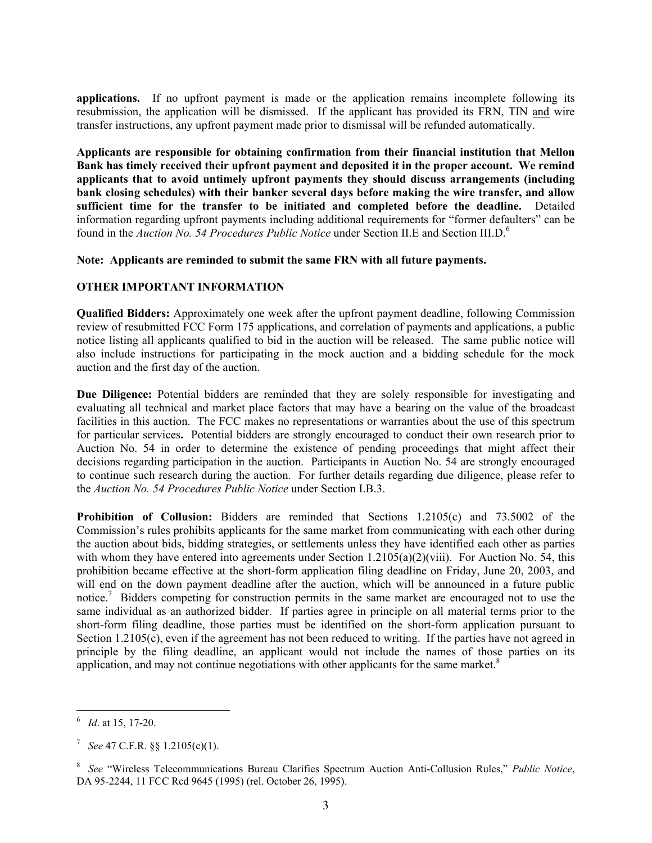**applications.** If no upfront payment is made or the application remains incomplete following its resubmission, the application will be dismissed. If the applicant has provided its FRN, TIN and wire transfer instructions, any upfront payment made prior to dismissal will be refunded automatically.

**Applicants are responsible for obtaining confirmation from their financial institution that Mellon Bank has timely received their upfront payment and deposited it in the proper account. We remind applicants that to avoid untimely upfront payments they should discuss arrangements (including bank closing schedules) with their banker several days before making the wire transfer, and allow sufficient time for the transfer to be initiated and completed before the deadline.** Detailed information regarding upfront payments including additional requirements for "former defaulters" can be found in the *Auction No. 54 Procedures Public Notice* under Section II.E and Section III.D.<sup>6</sup>

#### **Note: Applicants are reminded to submit the same FRN with all future payments.**

#### **OTHER IMPORTANT INFORMATION**

**Qualified Bidders:** Approximately one week after the upfront payment deadline, following Commission review of resubmitted FCC Form 175 applications, and correlation of payments and applications, a public notice listing all applicants qualified to bid in the auction will be released. The same public notice will also include instructions for participating in the mock auction and a bidding schedule for the mock auction and the first day of the auction.

**Due Diligence:** Potential bidders are reminded that they are solely responsible for investigating and evaluating all technical and market place factors that may have a bearing on the value of the broadcast facilities in this auction. The FCC makes no representations or warranties about the use of this spectrum for particular services**.** Potential bidders are strongly encouraged to conduct their own research prior to Auction No. 54 in order to determine the existence of pending proceedings that might affect their decisions regarding participation in the auction. Participants in Auction No. 54 are strongly encouraged to continue such research during the auction. For further details regarding due diligence, please refer to the *Auction No. 54 Procedures Public Notice* under Section I.B.3.

**Prohibition of Collusion:** Bidders are reminded that Sections 1.2105(c) and 73.5002 of the Commission's rules prohibits applicants for the same market from communicating with each other during the auction about bids, bidding strategies, or settlements unless they have identified each other as parties with whom they have entered into agreements under Section 1.2105(a)(2)(viii). For Auction No. 54, this prohibition became effective at the short-form application filing deadline on Friday, June 20, 2003, and will end on the down payment deadline after the auction, which will be announced in a future public notice.<sup>7</sup> Bidders competing for construction permits in the same market are encouraged not to use the same individual as an authorized bidder. If parties agree in principle on all material terms prior to the short-form filing deadline, those parties must be identified on the short-form application pursuant to Section 1.2105(c), even if the agreement has not been reduced to writing. If the parties have not agreed in principle by the filing deadline, an applicant would not include the names of those parties on its application, and may not continue negotiations with other applicants for the same market. $8$ 

 $\overline{a}$ 6 *Id*. at 15, 17-20.

<sup>7</sup> *See* 47 C.F.R. §§ 1.2105(c)(1).

<sup>8</sup> *See* "Wireless Telecommunications Bureau Clarifies Spectrum Auction Anti-Collusion Rules," *Public Notice*, DA 95-2244, 11 FCC Rcd 9645 (1995) (rel. October 26, 1995).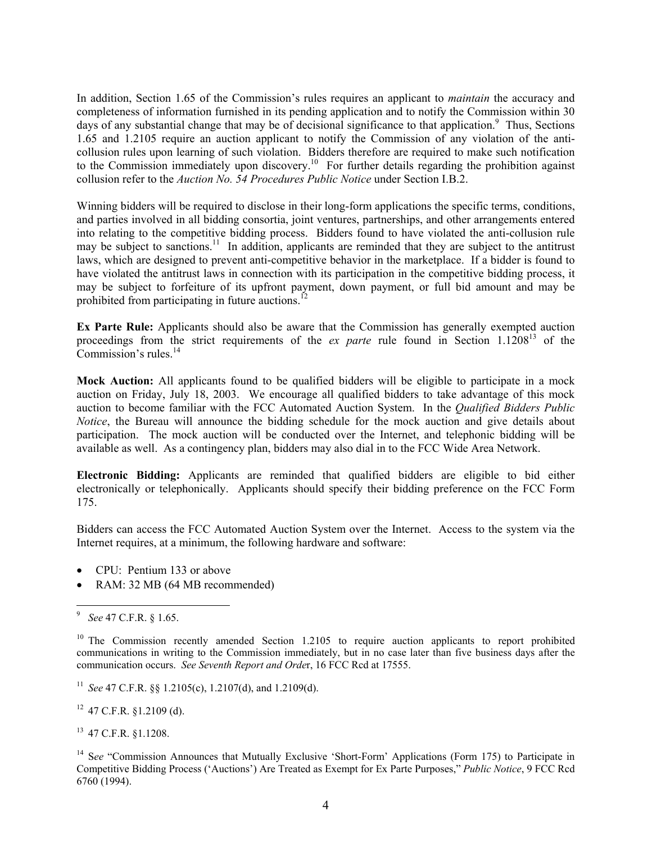In addition, Section 1.65 of the Commission's rules requires an applicant to *maintain* the accuracy and completeness of information furnished in its pending application and to notify the Commission within 30 days of any substantial change that may be of decisional significance to that application.<sup>9</sup> Thus, Sections 1.65 and 1.2105 require an auction applicant to notify the Commission of any violation of the anticollusion rules upon learning of such violation. Bidders therefore are required to make such notification to the Commission immediately upon discovery.<sup>10</sup> For further details regarding the prohibition against collusion refer to the *Auction No. 54 Procedures Public Notice* under Section I.B.2.

Winning bidders will be required to disclose in their long-form applications the specific terms, conditions, and parties involved in all bidding consortia, joint ventures, partnerships, and other arrangements entered into relating to the competitive bidding process. Bidders found to have violated the anti-collusion rule may be subject to sanctions.<sup>11</sup> In addition, applicants are reminded that they are subject to the antitrust laws, which are designed to prevent anti-competitive behavior in the marketplace. If a bidder is found to have violated the antitrust laws in connection with its participation in the competitive bidding process, it may be subject to forfeiture of its upfront payment, down payment, or full bid amount and may be prohibited from participating in future auctions.<sup>12</sup>

**Ex Parte Rule:** Applicants should also be aware that the Commission has generally exempted auction proceedings from the strict requirements of the *ex parte* rule found in Section 1.120813 of the Commission's rules. $14$ 

**Mock Auction:** All applicants found to be qualified bidders will be eligible to participate in a mock auction on Friday, July 18, 2003. We encourage all qualified bidders to take advantage of this mock auction to become familiar with the FCC Automated Auction System. In the *Qualified Bidders Public Notice*, the Bureau will announce the bidding schedule for the mock auction and give details about participation. The mock auction will be conducted over the Internet, and telephonic bidding will be available as well. As a contingency plan, bidders may also dial in to the FCC Wide Area Network.

**Electronic Bidding:** Applicants are reminded that qualified bidders are eligible to bid either electronically or telephonically. Applicants should specify their bidding preference on the FCC Form 175.

Bidders can access the FCC Automated Auction System over the Internet. Access to the system via the Internet requires, at a minimum, the following hardware and software:

- CPU: Pentium 133 or above
- RAM: 32 MB (64 MB recommended)

 $12$  47 C.F.R. §1.2109 (d).

13 47 C.F.R. §1.1208.

<sup>-&</sup>lt;br>9 *See* 47 C.F.R. § 1.65.

<sup>&</sup>lt;sup>10</sup> The Commission recently amended Section 1.2105 to require auction applicants to report prohibited communications in writing to the Commission immediately, but in no case later than five business days after the communication occurs. *See Seventh Report and Orde*r, 16 FCC Rcd at 17555.

<sup>11</sup> *See* 47 C.F.R. §§ 1.2105(c), 1.2107(d), and 1.2109(d).

<sup>&</sup>lt;sup>14</sup> See "Commission Announces that Mutually Exclusive 'Short-Form' Applications (Form 175) to Participate in Competitive Bidding Process ('Auctions') Are Treated as Exempt for Ex Parte Purposes," *Public Notice*, 9 FCC Rcd 6760 (1994).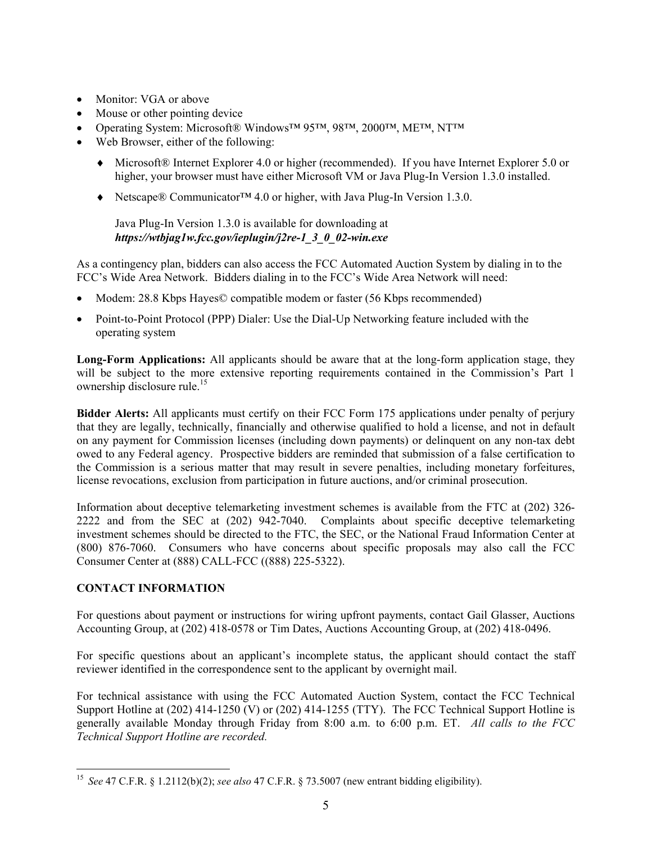- Monitor: VGA or above
- Mouse or other pointing device
- Operating System: Microsoft® Windows<sup>™</sup> 95™, 98™, 2000™, ME™, NT™
- Web Browser, either of the following:
	- ♦ Microsoft® Internet Explorer 4.0 or higher (recommended). If you have Internet Explorer 5.0 or higher, your browser must have either Microsoft VM or Java Plug-In Version 1.3.0 installed.
	- ♦ Netscape® Communicator™ 4.0 or higher, with Java Plug-In Version 1.3.0.

Java Plug-In Version 1.3.0 is available for downloading at *https://wtbjag1w.fcc.gov/ieplugin/j2re-1\_3\_0\_02-win.exe* 

As a contingency plan, bidders can also access the FCC Automated Auction System by dialing in to the FCC's Wide Area Network. Bidders dialing in to the FCC's Wide Area Network will need:

- Modem: 28.8 Kbps Hayes© compatible modem or faster (56 Kbps recommended)
- Point-to-Point Protocol (PPP) Dialer: Use the Dial-Up Networking feature included with the operating system

**Long-Form Applications:** All applicants should be aware that at the long-form application stage, they will be subject to the more extensive reporting requirements contained in the Commission's Part 1 ownership disclosure rule.<sup>15</sup>

**Bidder Alerts:** All applicants must certify on their FCC Form 175 applications under penalty of perjury that they are legally, technically, financially and otherwise qualified to hold a license, and not in default on any payment for Commission licenses (including down payments) or delinquent on any non-tax debt owed to any Federal agency. Prospective bidders are reminded that submission of a false certification to the Commission is a serious matter that may result in severe penalties, including monetary forfeitures, license revocations, exclusion from participation in future auctions, and/or criminal prosecution.

Information about deceptive telemarketing investment schemes is available from the FTC at (202) 326- 2222 and from the SEC at (202) 942-7040. Complaints about specific deceptive telemarketing investment schemes should be directed to the FTC, the SEC, or the National Fraud Information Center at (800) 876-7060. Consumers who have concerns about specific proposals may also call the FCC Consumer Center at (888) CALL-FCC ((888) 225-5322).

#### **CONTACT INFORMATION**

 $\overline{a}$ 

For questions about payment or instructions for wiring upfront payments, contact Gail Glasser, Auctions Accounting Group, at (202) 418-0578 or Tim Dates, Auctions Accounting Group, at (202) 418-0496.

For specific questions about an applicant's incomplete status, the applicant should contact the staff reviewer identified in the correspondence sent to the applicant by overnight mail.

For technical assistance with using the FCC Automated Auction System, contact the FCC Technical Support Hotline at (202) 414-1250 (V) or (202) 414-1255 (TTY). The FCC Technical Support Hotline is generally available Monday through Friday from 8:00 a.m. to 6:00 p.m. ET. *All calls to the FCC Technical Support Hotline are recorded.* 

<sup>15</sup> *See* 47 C.F.R. § 1.2112(b)(2); *see also* 47 C.F.R. § 73.5007 (new entrant bidding eligibility).